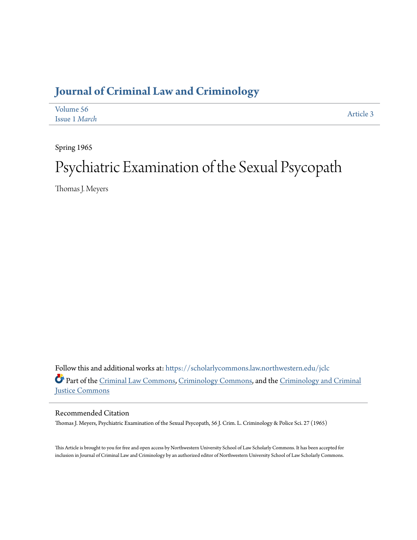## **[Journal of Criminal Law and Criminology](https://scholarlycommons.law.northwestern.edu/jclc?utm_source=scholarlycommons.law.northwestern.edu%2Fjclc%2Fvol56%2Fiss1%2F3&utm_medium=PDF&utm_campaign=PDFCoverPages)**

| Volume 56     | Article 3 |
|---------------|-----------|
| Issue 1 March |           |

Spring 1965

## Psychiatric Examination of the Sexual Psycopath

Thomas J. Meyers

Follow this and additional works at: [https://scholarlycommons.law.northwestern.edu/jclc](https://scholarlycommons.law.northwestern.edu/jclc?utm_source=scholarlycommons.law.northwestern.edu%2Fjclc%2Fvol56%2Fiss1%2F3&utm_medium=PDF&utm_campaign=PDFCoverPages) Part of the [Criminal Law Commons](http://network.bepress.com/hgg/discipline/912?utm_source=scholarlycommons.law.northwestern.edu%2Fjclc%2Fvol56%2Fiss1%2F3&utm_medium=PDF&utm_campaign=PDFCoverPages), [Criminology Commons](http://network.bepress.com/hgg/discipline/417?utm_source=scholarlycommons.law.northwestern.edu%2Fjclc%2Fvol56%2Fiss1%2F3&utm_medium=PDF&utm_campaign=PDFCoverPages), and the [Criminology and Criminal](http://network.bepress.com/hgg/discipline/367?utm_source=scholarlycommons.law.northwestern.edu%2Fjclc%2Fvol56%2Fiss1%2F3&utm_medium=PDF&utm_campaign=PDFCoverPages) [Justice Commons](http://network.bepress.com/hgg/discipline/367?utm_source=scholarlycommons.law.northwestern.edu%2Fjclc%2Fvol56%2Fiss1%2F3&utm_medium=PDF&utm_campaign=PDFCoverPages)

Recommended Citation

Thomas J. Meyers, Psychiatric Examination of the Sexual Psycopath, 56 J. Crim. L. Criminology & Police Sci. 27 (1965)

This Article is brought to you for free and open access by Northwestern University School of Law Scholarly Commons. It has been accepted for inclusion in Journal of Criminal Law and Criminology by an authorized editor of Northwestern University School of Law Scholarly Commons.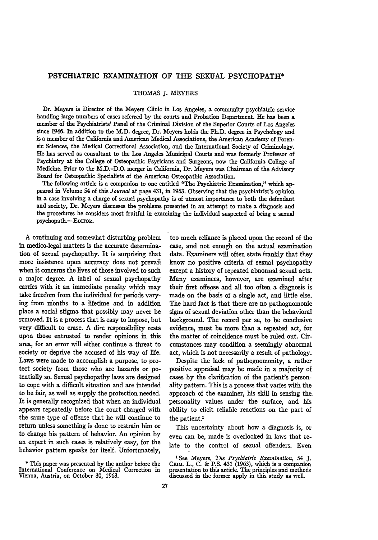## PSYCHIATRIC EXAMINATION OF THE SEXUAL PSYCHOPATH\*

## THOMAS **J.** MEYERS

Dr. Meyers is Director of the Meyers Clinic in Los Angeles, a community psychiatric service handling large numbers of cases referred by the courts and Probation Department. He has been a member of the Psychiatrists' Panel of the Criminal Division of the Superior Courts of Los Angeles since 1946. In addition to the M.D. degree, Dr. Meyers holds the Ph.D. degree in Psychology and is a member of the California and American Medical Associations, the American Academy of Forensic Sciences, the Medical Correctional Association, and the International Society of Criminology. He has served as consultant to the Los Angeles Municipal Courts and was formerly Professor of Psychiatry at the College of Osteopathic Psysicians and Surgeons, now the California College of Medicine. Prior to the M.D.-D.O. merger in California, Dr. Meyers was Chairman of the Advisory Board for Osteopathic Specialists of the American Osteopathic Association.

The following article is a companion to one entitled "The Psychiatric Examination," which appeared in Volume 54 of this *Journal* at page 431, in 1963. Observing that the psychiatrist's opinion in a case involving a charge of sexual psychopathy is of utmost importance to both the defendant and society, Dr. Meyers discusses the problems presented in an attempt to make a diagnosis and the procedures he considers most fruitful in examining the individual suspected of being a sexual psychopath.-Enrron.

**A** continuing and somewhat disturbing problem in medico-legal matters is the accurate determination of sexual psychopathy. It is surprising that more insistence upon accuracy does not prevail when it concerns the lives of those involved to such a major degree. A label of sexual psychopathy carries with it an immediate penalty which may take freedom from the individual for periods varying from nionths to a lifetime and in addition place a social stigma that possibly nay never be rcmoved. It is a process that is easy to impose, but very difficult to erase. A dire responsibility rests upon those entrusted to render opinions in this area, for an error will either continue a threat to society or deprive the accused of his way of life. Laws were made to accomplish a purpose, to protect society from those who are hazards or potentially so. Sexual psychopathy laws are designed to cope with a difficult situation and are intended to be fair, as well as supply the protection needed. It is generally recognized that when an individual appears repeatedly before the court charged with the same type of offense that he will continue to return unless something is done to restrain him or to change his pattern of behavior. An opinion by an expert in such cases is relatively easy, for the behavior pattern speaks for itself. Unfortunately,

too much reliance is placed upon the record of the case, and not enough on the actual examination data. Examiners will often state frankly that they know no positive criteria of sexual psychopathy except a history of repeated abnormal sexual acts. Many examinees, however, are examined after their first offenase and all too often a diagnosis is made on the basis of a single act, and little else. The hard fact is that there are no pathognomonic signs of sexual deviation other than the behavioral background. The record per se, to be conclusive evidence, must be more than a repeated act, for the matter of coincidence must be ruled out. Circumstances may condition a seemingly abnormal act, which is not necessarily a result of pathology.

Despite the lack of pathognomonity, a rather positive appraisal may be made in a majority of cases by the clarification of the patient's personality pattern. This is a process that varies with the approach of the examiner, his skill in sensing the. personality values under the surface, and his ability to elicit reliable reactions on the part of the patient.<sup>1</sup>

This uncertainty about how a diagnosis is, or even can be, made is overlooked in laws that relate to the control of sexual offenders. Even

**<sup>\*</sup>** This paper was presented by the author before the International Conference on Medical Correction in Vienna, Austria, on October 30, 1963.

See Meyers, *The Psychiatric Examination, 54* J. CRIM. L., C. & P.S. 431 (1963), which is a companion presentation to this article. The principles and methods discussed in the former apply in this study as well.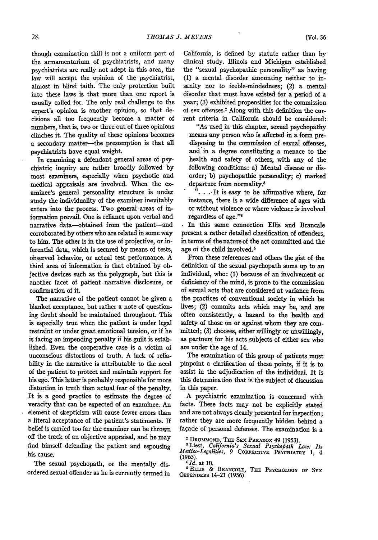though examination skill is not a uniform part of the armamentarium of psychiatrists, and many psychiatrists are really not adept in this area, the law will accept the opinion of the psychiatrist, almost in blind faith. The only protection built into these laws is that more than one report is usually called for. The only real challenge to the expert's opinion is another opinion, so that decisions all too frequently become a matter of numbers, that is, two or three out of three opinions clinches it. The quality of these opinions becomes a secondary matter-the presumption is that all psychiatrists have equal weight.

In examining a defendant general areas of psychiatric inquiry are rather broadly followed by most examiners, especially when psychotic and medical appraisals are involved. When the examinee's general personality structure is under study the individuality of the examiner inevitably enters into the process. Two general areas of information prevail. One is reliance upon verbal and narrative data-obtained from the patient-and corroborated by otiers who are related in some way to him. The other is in the use of projective, or inferential data, which is secured by means of tests, observed behavior, or actual test performance. A third area of information is that obtained **by** objective devices such as the polygraph, but this is another facet of patient narrative disclosure, or confirmation of it.

The narrative of the patient cannot be given a blanket acceptance, but rather a note of questioning doubt should be maintained throughout. This is especially true when the patient is under legal restraint or under great emotional tension, or if he is facing an impending penalty if his guilt is established. Even the cooperative case is a victim of unconscious distortions of truth. A lack of reliability in the narrative is attributable to the need of the patient to protect and maintain support for his ego. This latter is probably responsible for more distortion in truth than actual fear of the penalty. It is a good practice to estimate the degree of veracity that can be expected of an examinee. An element of skepticism will cause fewer errors than a literal acceptance of the patient's statements. If belief is carried too far the examiner can be thrown off the track of an objective appraisal, and he may find himself defending the patient and espousing his cause.

The sexual psychopath, or the mentally disordered sexual offender as he is currently termed in

California, is defined by statute rather than by clinical study. Illinois and Michigan established the "sexual psychopathic personality" as having (1) a mental disorder amounting neither to insanity nor to feeble-mindedness; (2) a mental disorder that must have existed for a period of a year; (3) exhibited propensities for the commission of sex offenses.2 Along with this definition the current criteria in California should be considered:

"As used in this chapter, sexual psychopathy means any person who is affected in a form predisposing to the commission of sexual offenses, and in a degree constituting a menace to the health and safety of others, with any of the following conditions: a) Mental disease or disorder; b) psychopathic personality; c) marked departure from normality.3

". **.** .. It is easy to be affirmative where, for instance, there is a wide difference of ages with or without violence or where violence is involved regardless of age."<sup>4</sup>

In this same connection Ellis and Brancale present a rather detailed classification of offenders, in terms of the nature of the act committed and the age of the child involved.<sup>5</sup>

From these references and others the gist of the definition of the sexual psychopath sums up to an individual, who: (1) because of an involvement or deficiency of the mind, is prone to the commission of sexual acts that are considered at variance from the practices of conventional society in which he lives; (2) commits acts which may be, and are often consistently, a hazard to the health and safety of those on or against whom they are committed; (3) chooses, either willingly or unwillingly, as partners for his acts subjects of either sex who are under the age of 14.

The examination of this group of patients must pinpoint a clarification of these points, if it is to assist in the adjudication of the individual. It is this determination that is the subject of discussion in this paper.

A psychiatric examination is concerned with facts. These facts may not be explicitly stated and are not always clearly presented for inspection; rather they are more frequently hidden behind a facade of personal defenses. The examination is a

<sup>&</sup>lt;sup>2</sup> Demmond, The Sey Paradox 40 (1053). <sup>-</sup> DRUMMOND, THE SEX PARADOX 49 (1953).<br><sup>3</sup> Liest, *California's Sexual Psychopath Law: Its* 

*Medico-Legalities,* 9 CoRRxcrrvE PsYcmArAy **1,** 4 (1963). *<sup>4</sup>Id.* at **10.**

IELs & BRANcoLE, **THE** PSYCHOLOGY **OF SEX** OFFENDERS 14-21 (1956).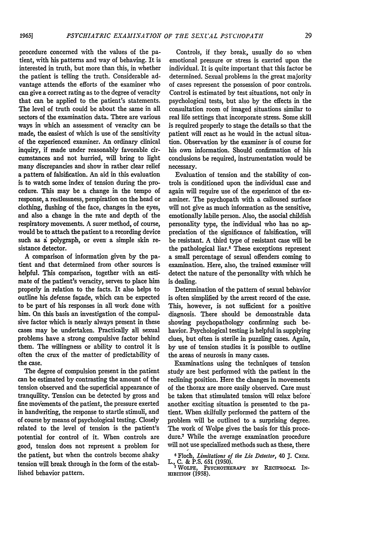procedure concerned with the values of the patient, with his patterns and way of behaving. It is interested in truth, but more than this, in whether the patient is telling the truth. Considerable advantage attends the efforts of the examiner who can give a correct rating as to the degree of veracity that can be applied to the patient's statements. The level of truth could be about the same in all sectors of the examination data. There are various ways in which an assessment of veracity can be made, the easiest of which is use of the sensitivity of the experienced examiner. An ordinary clinical inquiry, if made under reasonably favorable circumstances and not hurried, will bring to light many discrepancies and show in rather clear relief a pattern of falsification. An aid in this evaluation is to watch some index of tension during the procedure. This may be a change in the tempo of response, a restlessness, perspiration on the head or clothing, flushing of the face, changes in the eyes, and also a change in the rate and depth of the respiratory movements. A surer method, of course, would be to attach the patient to a recording device such as a polygraph, or even a simple skin resistance detector.

A comparison of information given by the patient and that determined from other sources is helpful. This comparison, together with an estimate of the patient's veracity, serves to place him properly in relation to the facts. It also helps to outline his defense facade, which can be expected to be part of his responses in all work done with him. On this basis an investigation of the compulsive factor which is nearly always present in these cases may be undertaken. Practically all sexual problems have a strong compulsive factor behind them. The willingness or ability to control it is often the crux of the matter of predictability of the case.

The degree of compulsion present in the patient can be estimated by contrasting the amount of the tension observed and the-superficial appearance of tranquility. Tension can be detected by gross and fine moVements of the patient, the pressure exerted in handwriting, the response to startle stimuli, and of course by means of psychological testing. Closely related to the level of tension is the patient's potential for control of it. When controls are good, tension does not represent a problem for the patient, but when the controls become shaky tension will break through in the form of the established behavior pattern.

Controls, if they break, usually do so when emotional pressure or stress is exerted upon the individual. It is quite important that this factor be determined. Sexual problems in the great majority of cases represent the possession of poor controls. Control is estimated by test situations, not only in psychological tests, but also by the effects in the consultation room of imaged situations similar to real life settings that incorporate stress. Some skill is required properly to stage the details so that the patient will react as he would in the actual situation. Observation by the examiner is of course for his own information. Should confirmation of his conclusions be required, instrumentation would be necessary.

Evaluation of tension and the stability of controls is conditioned upon the individual case and again will require use of the experience of the examiner. The psychopath with a calloused surface will not give as much information as the sensitive, emotionally labile person. Also, the asocial childish personality type, the individual who has no appreciation of the significance of falsification, will be resistant. A third type of resistant case will be the pathological liar.6 These exceptions represent a small percentage of sexual offenders coming to examination. Here, also, the trained examiner will detect the nature of the personality with which he is dealing.

Determination of the pattern of sexual behavior is often simplified by the arrest record of the case. This, however, is not sufficient for a positive diagnosis. There should be demonstrable data showing psychopathology confirming such behavior. Psychological testing is helpful in supplying dues, but often is sterile in puzzling cases. Again, by use of tension studies it is possible to outline the areas of neurosis in many cases.

Examinations using the techniques of tension study are best performed with the patient in the reclining position. Here the changes in movements of the thorax are more easily observed. Care must be taken that stimulated tension will relax before' another exciting situation is presented to the patient. When skilfully performed the pattern of the problem will be outlined to a surprising degree. The work of Wolpe gives the basis for this procedure.7 While the average examination procedure will not use specialized methods such as these, there

<sup>&</sup>lt;sup>6</sup> **Floch,** *Limitations of the Lie Detector***, 40 J. CRIM<br>
<b>L., C. & P.S. 651 (1950). 7 WOLPE, PSYCHOTHERAPY BY RECIPROCAL IN-**

**HIBITION** (1958).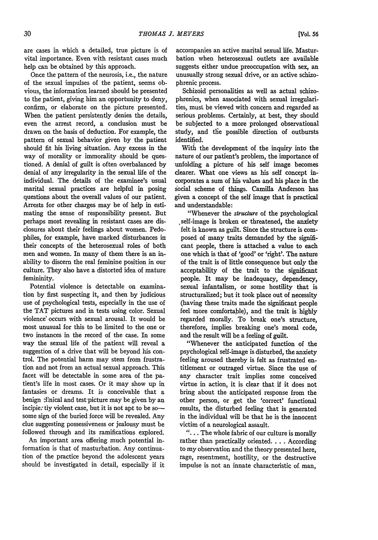are cases in which a detailed, true picture is of vital importance. Even with resistant cases much help can be obtained by this approach.

Once the pattern of the neurosis, i.e., the nature of the sexual impulses of the patient, seems obvious, the information learned should be presented to the patient, giving him an opportunity to deny, confirm, or elaborate on the picture presented. When the patient persistently denies the details, even the arrest record, a conclusion must be drawn on the basis of deduction. For example, the pattern of sexual behavior given by the patient should fit his living situation. Any excess in the way of morality or immorality should be questioned. A denial of guilt is often overbalanced by denial of any irregularity in the sexual life of the individual. The details of the examinee's usual marital sexual practices are helpful in posing questions about the overall values of our patient. Arrests for other charges may be of help in estimating the sense of responsibility present. But perhaps most revealing in resistant cases are disclosures about their feelings about women. Pedophiles, for example, have marked disturbances in their concepts of the heterosexual roles of both men and women. In many of them there is an inability to discern the real feminine position in our culture. They also have a distorted idea of mature femininity.

Potential violence is detectable on examination by first suspecting it, and then by judicious use of psychological tests, especially in the use of the TAT pictures and in tests using color. Sexual violence' occurs with sexual arousal. It would be most unusual for this to be limited to the one or two instances in the record of the case. In some way the sexual life of the patient will reveal a suggestion of a drive that will be beyond his control. The potential harm may stem from frustration and not from an actual sexual approach. This facet will be detectable in some area of the patient's life in most cases. Or it may show up in fantasies or dreams. It is conceivable that a benign :linical and test-picture may be given by an incipie. tiy violent case, but it is not apt to be sosome sign of the buried force will be revealed. Any clue suggesting possessiveness or jealousy must be followed through and its ramifications explored.

An important area offering much potential information is that of masturbation. Any continuation of the practice beyond the adolescent years should be investigated in detail, especially if it accompanies an active marital sexual life. Masturbation when heterosexual outlets are available suggests either undue preoccupation with sex, an unusually strong sexual drive, or an active schizophrenic process.

Schizoid personalities as well as actual schizophrenics, when associated with sexual irregularities, must be viewed with concern and regarded as serious problems. Certainly, at best, they should be subjected to a more prolonged observational study, and the possible direction of outbursts identified.

With the development of the inquiry into the nature of our patient's problem, the importance of unfolding a picture of his self image becomes clearer. What one views as his self concept incorporates a sum of his values and his place in the social scheme of things. Camilla Anderson has given a concept of the self image that is practical and understandable:

"Whenever the *strudure* of the psychological self-image is broken or threatened, the anxiety felt is known as guilt. Since the structure is composed of many traits demanded by the significant people, there is attached a value to each one which is that of 'good' or 'right'. The nature of the trait is of little consequence but only the acceptability of the trait to the significant people. It may be inadequacy, dependency, sexual infantalism, or some hostility that is structuralized; but it took place out of necessity (having these traits made the significant people feel more comfortable), and the trait is highly regarded morally. To break one's structure, therefore, implies breaking one's moral code, and the result will be a feeling of guilt.

"Whenever the anticipated function of the psychological self-image is disturbed, the anxiety feeling aroused thereby is felt as frustrated entitlement or outraged virtue. Since the use of any character trait implies some conceived virtue in action, it is clear that if it does not bring about the anticipated response from the other person, or get the 'correct' functional results, the disturbed feeling that is generated in the individual will be that he is the innocent victim of a neurological assault.

*"....* The whole fabric of our culture is morally rather than practically oriented. . . . According to my observation and the theory presented here, rage, resentment, hostility, or the destructive impulse is not an innate characteristic of man,